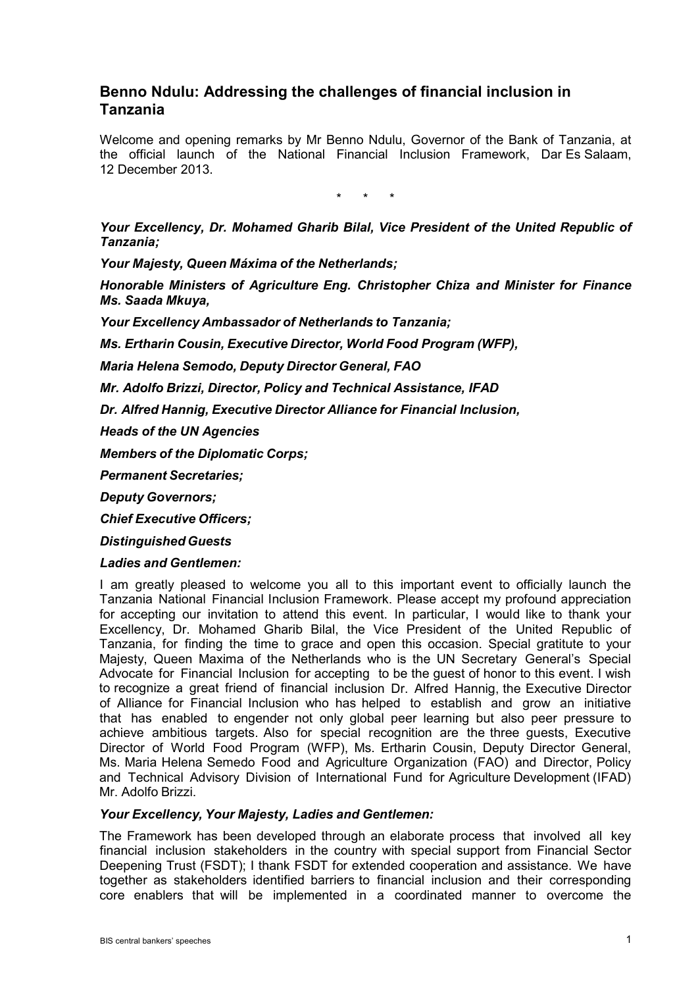# **Benno Ndulu: Addressing the challenges of financial inclusion in Tanzania**

Welcome and opening remarks by Mr Benno Ndulu, Governor of the Bank of Tanzania, at the official launch of the National Financial Inclusion Framework, Dar Es Salaam, 12 December 2013.

\* \* \*

*Your Excellency, Dr. Mohamed Gharib Bilal, Vice President of the United Republic of Tanzania;*

*Your Majesty, Queen Máxima of the Netherlands;*

*Honorable Ministers of Agriculture Eng. Christopher Chiza and Minister for Finance Ms. Saada Mkuya,*

*Your Excellency Ambassador of Netherlands to Tanzania;*

*Ms. Ertharin Cousin, Executive Director, World Food Program (WFP),*

*Maria Helena Semodo, Deputy Director General, FAO*

*Mr. Adolfo Brizzi, Director, Policy and Technical Assistance, IFAD*

*Dr. Alfred Hannig, Executive Director Alliance for Financial Inclusion,*

*Heads of the UN Agencies*

*Members of the Diplomatic Corps;*

*Permanent Secretaries;*

*Deputy Governors;*

*Chief Executive Officers;*

*Distinguished Guests*

#### *Ladies and Gentlemen:*

I am greatly pleased to welcome you all to this important event to officially launch the Tanzania National Financial Inclusion Framework. Please accept my profound appreciation for accepting our invitation to attend this event. In particular, I would like to thank your Excellency, Dr. Mohamed Gharib Bilal, the Vice President of the United Republic of Tanzania, for finding the time to grace and open this occasion. Special gratitute to your Majesty, Queen Maxima of the Netherlands who is the UN Secretary General's Special Advocate for Financial Inclusion for accepting to be the guest of honor to this event. I wish to recognize a great friend of financial inclusion Dr. Alfred Hannig, the Executive Director of Alliance for Financial Inclusion who has helped to establish and grow an initiative that has enabled to engender not only global peer learning but also peer pressure to achieve ambitious targets. Also for special recognition are the three guests, Executive Director of World Food Program (WFP), Ms. Ertharin Cousin, Deputy Director General, Ms. Maria Helena Semedo Food and Agriculture Organization (FAO) and Director, Policy and Technical Advisory Division of International Fund for Agriculture Development (IFAD) Mr. Adolfo Brizzi.

# *Your Excellency, Your Majesty, Ladies and Gentlemen:*

The Framework has been developed through an elaborate process that involved all key financial inclusion stakeholders in the country with special support from Financial Sector Deepening Trust (FSDT); I thank FSDT for extended cooperation and assistance. We have together as stakeholders identified barriers to financial inclusion and their corresponding core enablers that will be implemented in a coordinated manner to overcome the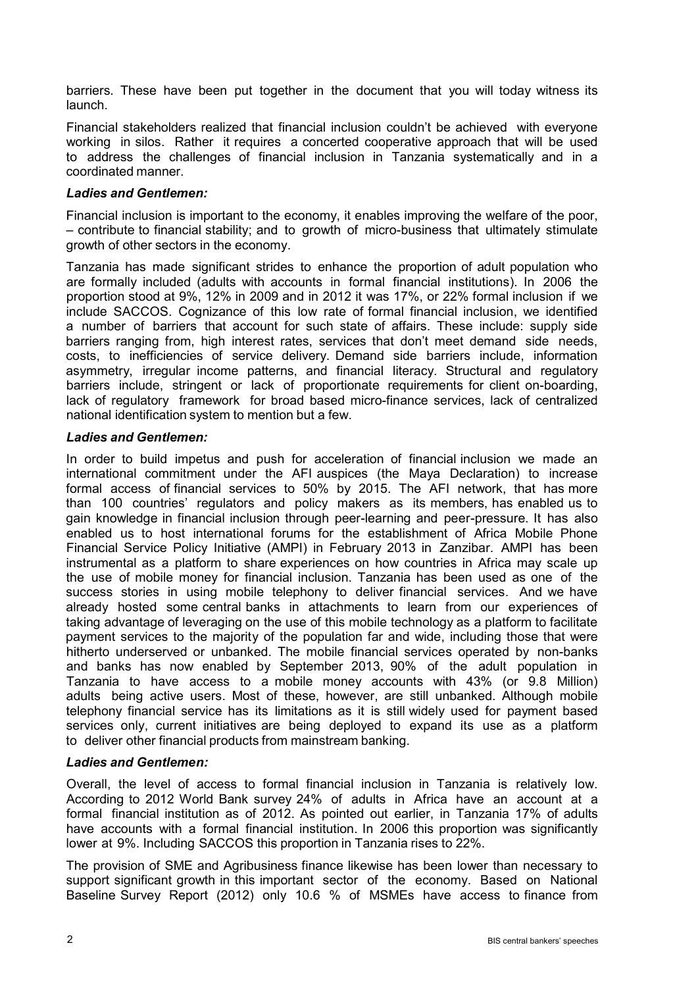barriers. These have been put together in the document that you will today witness its launch.

Financial stakeholders realized that financial inclusion couldn't be achieved with everyone working in silos. Rather it requires a concerted cooperative approach that will be used to address the challenges of financial inclusion in Tanzania systematically and in a coordinated manner.

# *Ladies and Gentlemen:*

Financial inclusion is important to the economy, it enables improving the welfare of the poor, – contribute to financial stability; and to growth of micro-business that ultimately stimulate growth of other sectors in the economy.

Tanzania has made significant strides to enhance the proportion of adult population who are formally included (adults with accounts in formal financial institutions). In 2006 the proportion stood at 9%, 12% in 2009 and in 2012 it was 17%, or 22% formal inclusion if we include SACCOS. Cognizance of this low rate of formal financial inclusion, we identified a number of barriers that account for such state of affairs. These include: supply side barriers ranging from, high interest rates, services that don't meet demand side needs, costs, to inefficiencies of service delivery. Demand side barriers include, information asymmetry, irregular income patterns, and financial literacy. Structural and regulatory barriers include, stringent or lack of proportionate requirements for client on-boarding, lack of regulatory framework for broad based micro-finance services, lack of centralized national identification system to mention but a few.

### *Ladies and Gentlemen:*

In order to build impetus and push for acceleration of financial inclusion we made an international commitment under the AFI auspices (the Maya Declaration) to increase formal access of financial services to 50% by 2015. The AFI network, that has more than 100 countries' regulators and policy makers as its members, has enabled us to gain knowledge in financial inclusion through peer-learning and peer-pressure. It has also enabled us to host international forums for the establishment of Africa Mobile Phone Financial Service Policy Initiative (AMPI) in February 2013 in Zanzibar. AMPI has been instrumental as a platform to share experiences on how countries in Africa may scale up the use of mobile money for financial inclusion. Tanzania has been used as one of the success stories in using mobile telephony to deliver financial services. And we have already hosted some central banks in attachments to learn from our experiences of taking advantage of leveraging on the use of this mobile technology as a platform to facilitate payment services to the majority of the population far and wide, including those that were hitherto underserved or unbanked. The mobile financial services operated by non-banks and banks has now enabled by September 2013, 90% of the adult population in Tanzania to have access to a mobile money accounts with 43% (or 9.8 Million) adults being active users. Most of these, however, are still unbanked. Although mobile telephony financial service has its limitations as it is still widely used for payment based services only, current initiatives are being deployed to expand its use as a platform to deliver other financial products from mainstream banking.

#### *Ladies and Gentlemen:*

Overall, the level of access to formal financial inclusion in Tanzania is relatively low. According to 2012 World Bank survey 24% of adults in Africa have an account at a formal financial institution as of 2012. As pointed out earlier, in Tanzania 17% of adults have accounts with a formal financial institution. In 2006 this proportion was significantly lower at 9%. Including SACCOS this proportion in Tanzania rises to 22%.

The provision of SME and Agribusiness finance likewise has been lower than necessary to support significant growth in this important sector of the economy. Based on National Baseline Survey Report (2012) only 10.6 % of MSMEs have access to finance from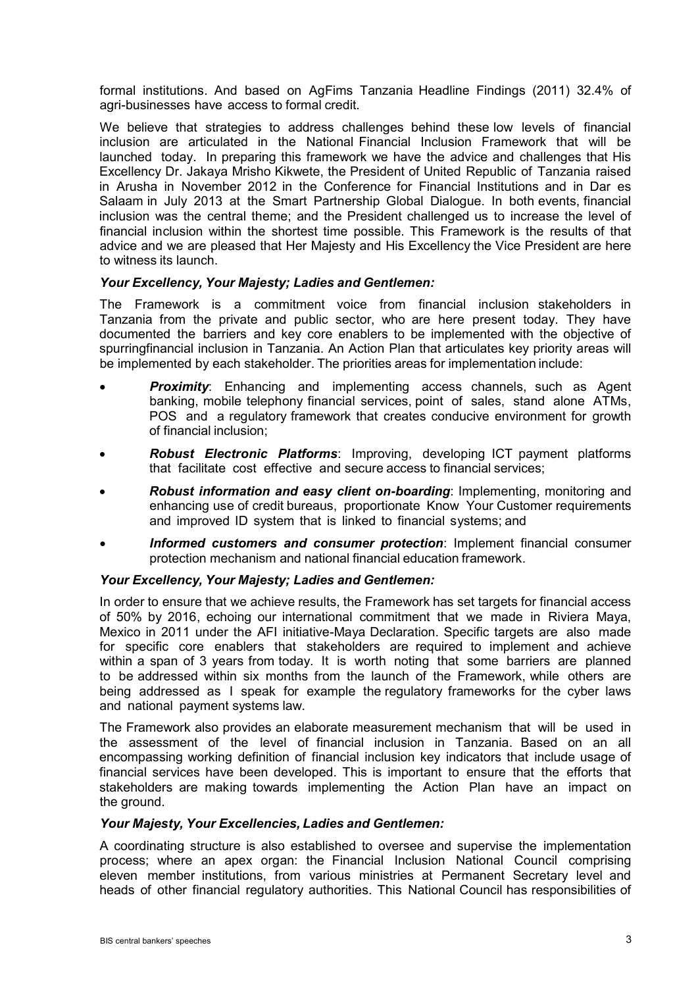formal institutions. And based on AgFims Tanzania Headline Findings (2011) 32.4% of agri-businesses have access to formal credit.

We believe that strategies to address challenges behind these low levels of financial inclusion are articulated in the National Financial Inclusion Framework that will be launched today. In preparing this framework we have the advice and challenges that His Excellency Dr. Jakaya Mrisho Kikwete, the President of United Republic of Tanzania raised in Arusha in November 2012 in the Conference for Financial Institutions and in Dar es Salaam in July 2013 at the Smart Partnership Global Dialogue. In both events, financial inclusion was the central theme; and the President challenged us to increase the level of financial inclusion within the shortest time possible. This Framework is the results of that advice and we are pleased that Her Majesty and His Excellency the Vice President are here to witness its launch.

### *Your Excellency, Your Majesty; Ladies and Gentlemen:*

The Framework is a commitment voice from financial inclusion stakeholders in Tanzania from the private and public sector, who are here present today. They have documented the barriers and key core enablers to be implemented with the objective of spurringfinancial inclusion in Tanzania. An Action Plan that articulates key priority areas will be implemented by each stakeholder. The priorities areas for implementation include:

- **Proximity**: Enhancing and implementing access channels, such as Agent banking, mobile telephony financial services, point of sales, stand alone ATMs, POS and a regulatory framework that creates conducive environment for growth of financial inclusion;
- *Robust Electronic Platforms*: Improving, developing ICT payment platforms that facilitate cost effective and secure access to financial services;
- *Robust information and easy client on-boarding*: Implementing, monitoring and enhancing use of credit bureaus, proportionate Know Your Customer requirements and improved ID system that is linked to financial systems; and
- *Informed customers and consumer protection*: Implement financial consumer protection mechanism and national financial education framework.

# *Your Excellency, Your Majesty; Ladies and Gentlemen:*

In order to ensure that we achieve results, the Framework has set targets for financial access of 50% by 2016, echoing our international commitment that we made in Riviera Maya, Mexico in 2011 under the AFI initiative-Maya Declaration. Specific targets are also made for specific core enablers that stakeholders are required to implement and achieve within a span of 3 years from today. It is worth noting that some barriers are planned to be addressed within six months from the launch of the Framework, while others are being addressed as I speak for example the regulatory frameworks for the cyber laws and national payment systems law.

The Framework also provides an elaborate measurement mechanism that will be used in the assessment of the level of financial inclusion in Tanzania. Based on an all encompassing working definition of financial inclusion key indicators that include usage of financial services have been developed. This is important to ensure that the efforts that stakeholders are making towards implementing the Action Plan have an impact on the ground.

#### *Your Majesty, Your Excellencies, Ladies and Gentlemen:*

A coordinating structure is also established to oversee and supervise the implementation process; where an apex organ: the Financial Inclusion National Council comprising eleven member institutions, from various ministries at Permanent Secretary level and heads of other financial regulatory authorities. This National Council has responsibilities of